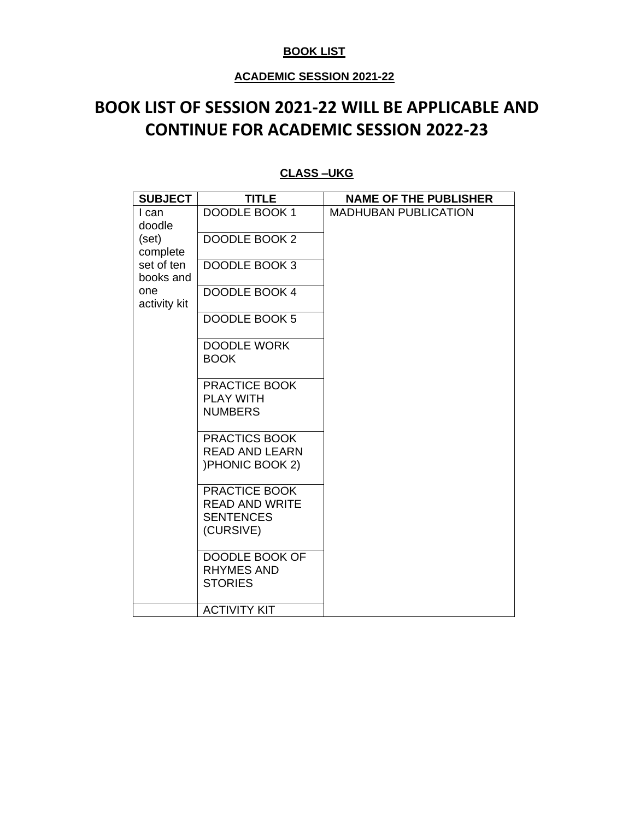### **BOOK LIST**

## **ACADEMIC SESSION 2021-22**

## **BOOK LIST OF SESSION 2021-22 WILL BE APPLICABLE AND CONTINUE FOR ACADEMIC SESSION 2022-23**

| <b>SUBJECT</b>          | <b>TITLE</b>                                                            | <b>NAME OF THE PUBLISHER</b> |
|-------------------------|-------------------------------------------------------------------------|------------------------------|
| I can<br>doodle         | DOODLE BOOK 1                                                           | <b>MADHUBAN PUBLICATION</b>  |
| (set)<br>complete       | DOODLE BOOK 2                                                           |                              |
| set of ten<br>books and | DOODLE BOOK 3                                                           |                              |
| one<br>activity kit     | <b>DOODLE BOOK 4</b>                                                    |                              |
|                         | DOODLE BOOK 5                                                           |                              |
|                         | <b>DOODLE WORK</b><br><b>BOOK</b>                                       |                              |
|                         | PRACTICE BOOK<br><b>PLAY WITH</b><br><b>NUMBERS</b>                     |                              |
|                         | PRACTICS BOOK<br><b>READ AND LEARN</b><br>) PHONIC BOOK 2)              |                              |
|                         | PRACTICE BOOK<br><b>READ AND WRITE</b><br><b>SENTENCES</b><br>(CURSIVE) |                              |
|                         | DOODLE BOOK OF<br><b>RHYMES AND</b><br><b>STORIES</b>                   |                              |
|                         | <b>ACTIVITY KIT</b>                                                     |                              |

### **CLASS –UKG**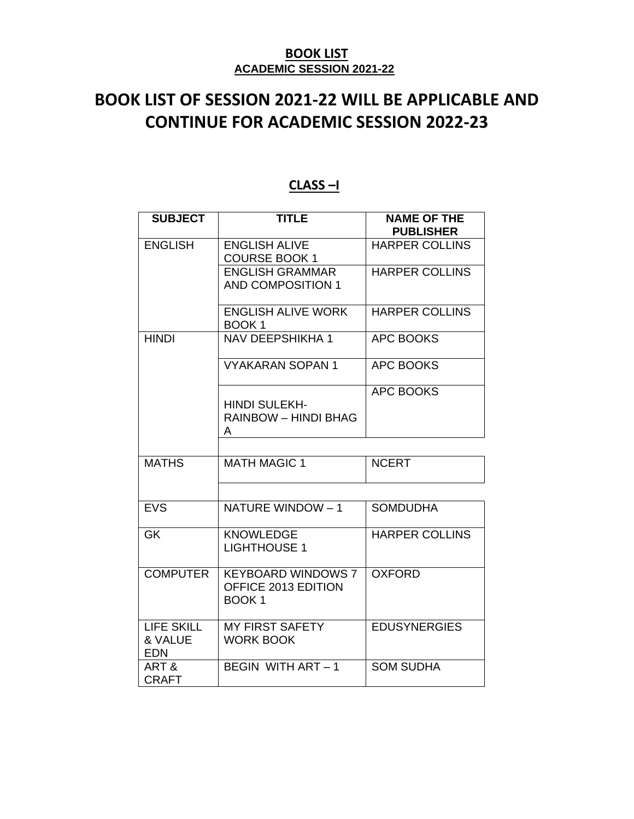# **BOOK LIST OF SESSION 2021-22 WILL BE APPLICABLE AND CONTINUE FOR ACADEMIC SESSION 2022-23**

| <b>SUBJECT</b>                             | <b>TITLE</b>                                                          | <b>NAME OF THE</b><br><b>PUBLISHER</b> |
|--------------------------------------------|-----------------------------------------------------------------------|----------------------------------------|
| <b>ENGLISH</b>                             | <b>ENGLISH ALIVE</b><br><b>COURSE BOOK 1</b>                          | <b>HARPER COLLINS</b>                  |
|                                            | <b>ENGLISH GRAMMAR</b><br><b>AND COMPOSITION 1</b>                    | <b>HARPER COLLINS</b>                  |
|                                            | <b>ENGLISH ALIVE WORK</b><br>BOOK <sub>1</sub>                        | <b>HARPER COLLINS</b>                  |
| <b>HINDI</b>                               | <b>NAV DEEPSHIKHA 1</b>                                               | <b>APC BOOKS</b>                       |
|                                            | <b>VYAKARAN SOPAN 1</b>                                               | <b>APC BOOKS</b>                       |
|                                            | <b>HINDI SULEKH-</b><br><b>RAINBOW - HINDI BHAG</b><br>A              | <b>APC BOOKS</b>                       |
|                                            |                                                                       |                                        |
| <b>MATHS</b>                               | <b>MATH MAGIC 1</b>                                                   | <b>NCERT</b>                           |
|                                            |                                                                       |                                        |
| <b>EVS</b>                                 | NATURE WINDOW - 1                                                     | <b>SOMDUDHA</b>                        |
| <b>GK</b>                                  | <b>KNOWLEDGE</b><br><b>LIGHTHOUSE 1</b>                               | <b>HARPER COLLINS</b>                  |
| <b>COMPUTER</b>                            | <b>KEYBOARD WINDOWS 7</b><br>OFFICE 2013 EDITION<br>BOOK <sub>1</sub> | <b>OXFORD</b>                          |
| <b>LIFE SKILL</b><br>& VALUE<br><b>EDN</b> | <b>MY FIRST SAFETY</b><br><b>WORK BOOK</b>                            | <b>EDUSYNERGIES</b>                    |
| ART&<br><b>CRAFT</b>                       | BEGIN WITH ART - 1                                                    | <b>SOM SUDHA</b>                       |

## **CLASS –I**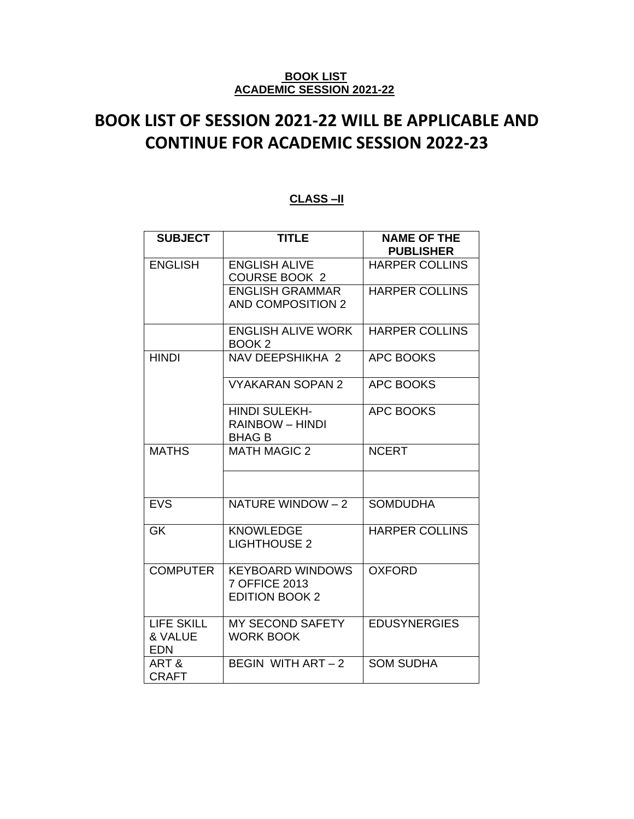# **BOOK LIST OF SESSION 2021-22 WILL BE APPLICABLE AND CONTINUE FOR ACADEMIC SESSION 2022-23**

### **CLASS –II**

| <b>SUBJECT</b>                             | <b>TITLE</b>                                                      | <b>NAME OF THE</b><br><b>PUBLISHER</b> |
|--------------------------------------------|-------------------------------------------------------------------|----------------------------------------|
| <b>ENGLISH</b>                             | <b>ENGLISH ALIVE</b><br><b>COURSE BOOK 2</b>                      | <b>HARPER COLLINS</b>                  |
|                                            | <b>ENGLISH GRAMMAR</b><br><b>AND COMPOSITION 2</b>                | <b>HARPER COLLINS</b>                  |
|                                            | <b>ENGLISH ALIVE WORK</b><br>BOOK <sub>2</sub>                    | <b>HARPER COLLINS</b>                  |
| <b>HINDI</b>                               | NAV DEEPSHIKHA 2                                                  | <b>APC BOOKS</b>                       |
|                                            | <b>VYAKARAN SOPAN 2</b>                                           | <b>APC BOOKS</b>                       |
|                                            | <b>HINDI SULEKH-</b><br><b>RAINBOW - HINDI</b><br><b>BHAG B</b>   | <b>APC BOOKS</b>                       |
| <b>MATHS</b>                               | <b>MATH MAGIC 2</b>                                               | <b>NCERT</b>                           |
|                                            |                                                                   |                                        |
| <b>EVS</b>                                 | NATURE WINDOW - 2                                                 | <b>SOMDUDHA</b>                        |
| <b>GK</b>                                  | <b>KNOWLEDGE</b><br><b>LIGHTHOUSE 2</b>                           | <b>HARPER COLLINS</b>                  |
| <b>COMPUTER</b>                            | <b>KEYBOARD WINDOWS</b><br>7 OFFICE 2013<br><b>EDITION BOOK 2</b> | <b>OXFORD</b>                          |
| <b>LIFE SKILL</b><br>& VALUE<br><b>EDN</b> | <b>MY SECOND SAFETY</b><br><b>WORK BOOK</b>                       | <b>EDUSYNERGIES</b>                    |
| ART&<br><b>CRAFT</b>                       | BEGIN WITH ART - 2                                                | <b>SOM SUDHA</b>                       |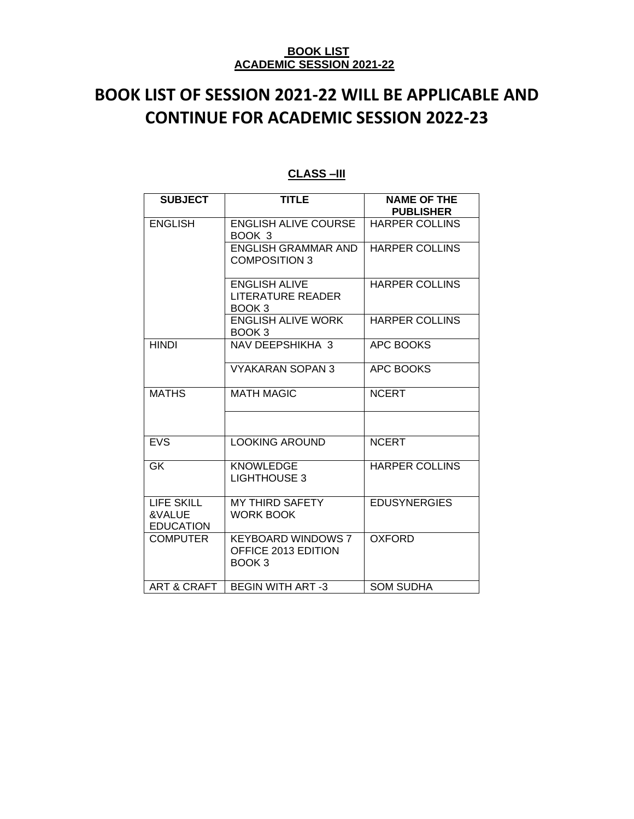# **BOOK LIST OF SESSION 2021-22 WILL BE APPLICABLE AND CONTINUE FOR ACADEMIC SESSION 2022-23**

| <b>SUBJECT</b>                                  | <b>TITLE</b>                                                          | <b>NAME OF THE</b><br><b>PUBLISHER</b> |
|-------------------------------------------------|-----------------------------------------------------------------------|----------------------------------------|
| <b>ENGLISH</b>                                  | <b>ENGLISH ALIVE COURSE</b><br>BOOK 3                                 | HARPER COLLINS                         |
|                                                 | <b>ENGLISH GRAMMAR AND</b><br><b>COMPOSITION 3</b>                    | <b>HARPER COLLINS</b>                  |
|                                                 | <b>ENGLISH ALIVE</b><br><b>LITERATURE READER</b><br>BOOK 3            | <b>HARPER COLLINS</b>                  |
|                                                 | <b>ENGLISH ALIVE WORK</b><br>BOOK 3                                   | <b>HARPER COLLINS</b>                  |
| <b>HINDI</b>                                    | NAV DEEPSHIKHA 3                                                      | <b>APC BOOKS</b>                       |
|                                                 | <b>VYAKARAN SOPAN 3</b>                                               | <b>APC BOOKS</b>                       |
| <b>MATHS</b>                                    | <b>MATH MAGIC</b>                                                     | <b>NCERT</b>                           |
|                                                 |                                                                       |                                        |
| <b>EVS</b>                                      | <b>LOOKING AROUND</b>                                                 | <b>NCERT</b>                           |
| <b>GK</b>                                       | <b>KNOWLEDGE</b><br><b>LIGHTHOUSE 3</b>                               | <b>HARPER COLLINS</b>                  |
| <b>LIFE SKILL</b><br>&VALUE<br><b>EDUCATION</b> | <b>MY THIRD SAFETY</b><br><b>WORK BOOK</b>                            | <b>EDUSYNERGIES</b>                    |
| <b>COMPUTER</b>                                 | <b>KEYBOARD WINDOWS 7</b><br>OFFICE 2013 EDITION<br>BOOK <sub>3</sub> | <b>OXFORD</b>                          |
| <b>ART &amp; CRAFT</b>                          | <b>BEGIN WITH ART-3</b>                                               | <b>SOM SUDHA</b>                       |

### **CLASS –III**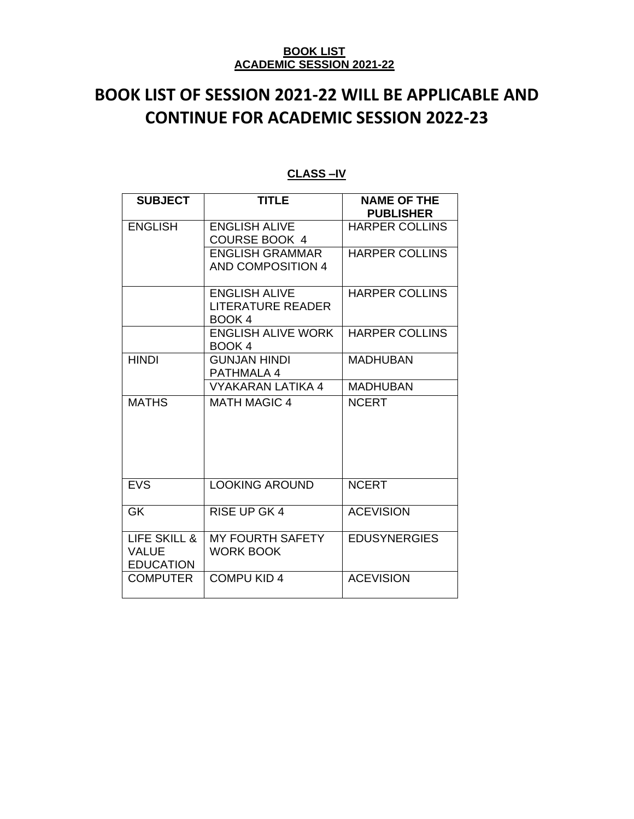# **BOOK LIST OF SESSION 2021-22 WILL BE APPLICABLE AND CONTINUE FOR ACADEMIC SESSION 2022-23**

| <b>SUBJECT</b>                                   | <b>TITLE</b>                                               | <b>NAME OF THE</b><br><b>PUBLISHER</b> |
|--------------------------------------------------|------------------------------------------------------------|----------------------------------------|
| <b>ENGLISH</b>                                   | <b>ENGLISH ALIVE</b><br><b>COURSE BOOK 4</b>               | <b>HARPER COLLINS</b>                  |
|                                                  | <b>ENGLISH GRAMMAR</b><br><b>AND COMPOSITION 4</b>         | <b>HARPER COLLINS</b>                  |
|                                                  | <b>ENGLISH ALIVE</b><br><b>LITERATURE READER</b><br>BOOK 4 | <b>HARPER COLLINS</b>                  |
|                                                  | <b>ENGLISH ALIVE WORK</b><br>BOOK <sub>4</sub>             | <b>HARPER COLLINS</b>                  |
| <b>HINDI</b>                                     | GUNJAN HINDI<br><b>PATHMALA 4</b>                          | MADHUBAN                               |
|                                                  | VYAKARAN LATIKA 4                                          | <b>MADHUBAN</b>                        |
| <b>MATHS</b>                                     | <b>MATH MAGIC 4</b>                                        | <b>NCERT</b>                           |
| EVS                                              | <b>LOOKING AROUND</b>                                      | <b>NCERT</b>                           |
| GK                                               | <b>RISE UP GK 4</b>                                        | <b>ACEVISION</b>                       |
| LIFE SKILL &<br><b>VALUE</b><br><b>EDUCATION</b> | <b>MY FOURTH SAFETY</b><br><b>WORK BOOK</b>                | <b>EDUSYNERGIES</b>                    |
| <b>COMPUTER</b>                                  | <b>COMPU KID 4</b>                                         | <b>ACEVISION</b>                       |

## **CLASS –IV**